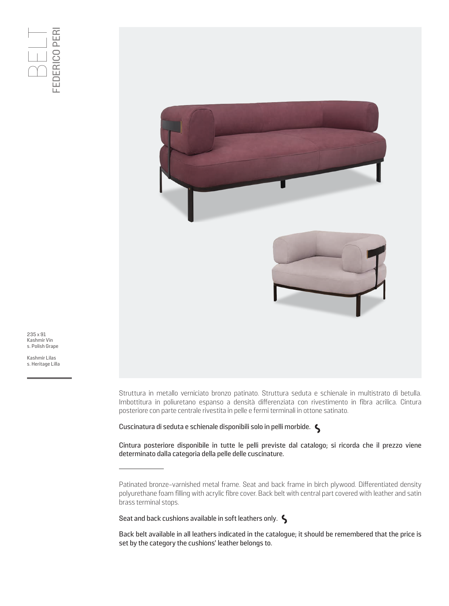

235 x 91 Kashmir Vin s. Polish Grape

Kashmir Lilas<br>s. Heritage Lilla

Struttura in metallo verniciato bronzo patinato. Struttura seduta e schienale in multistrato di betulla. Imbottitura in poliuretano espanso a densità differenziata con rivestimento in fibra acrilica. Cintura posteriore con parte centrale rivestita in pelle e fermi terminali in ottone satinato.

Cuscinatura di seduta e schienale disponibili solo in pelli morbide.

Cintura posteriore disponibile in tutte le pelli previste dal catalogo; si ricorda che il prezzo viene determinato dalla categoria della pelle delle cuscinature.

Seat and back cushions available in soft leathers only.  $\zeta$ 

Patinated bronze-varnished metal frame. Seat and back frame in birch plywood. Differentiated density polyurethane foam filling with acrylic fibre cover. Back belt with central part covered with leather and satin brass terminal stops.

Back belt available in all leathers indicated in the catalogue; it should be remembered that the price is set by the category the cushions' leather belongs to.